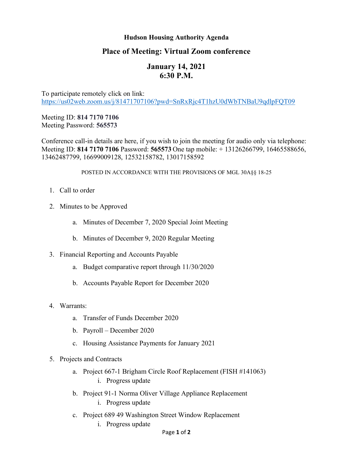## **Hudson Housing Authority Agenda**

## **Place of Meeting: Virtual Zoom conference**

## **January 14, 2021 6:30 P.M.**

To participate remotely click on link: <https://us02web.zoom.us/j/81471707106?pwd=SnRxRjc4T1hzU0dWbTNBaU9qdlpFQT09>

Meeting ID: **814 7170 7106** Meeting Password: **565573**

Conference call-in details are here, if you wish to join the meeting for audio only via telephone: Meeting ID: **814 7170 7106** Password: **565573** One tap mobile: + 13126266799, 16465588656, 13462487799, 16699009128, 12532158782, 13017158592

## POSTED IN ACCORDANCE WITH THE PROVISIONS OF MGL 30A§§ 18-25

- 1. Call to order
- 2. Minutes to be Approved
	- a. Minutes of December 7, 2020 Special Joint Meeting
	- b. Minutes of December 9, 2020 Regular Meeting
- 3. Financial Reporting and Accounts Payable
	- a. Budget comparative report through 11/30/2020
	- b. Accounts Payable Report for December 2020
- 4. Warrants:
	- a. Transfer of Funds December 2020
	- b. Payroll December 2020
	- c. Housing Assistance Payments for January 2021
- 5. Projects and Contracts
	- a. Project 667-1 Brigham Circle Roof Replacement (FISH #141063) i. Progress update
	- b. Project 91-1 Norma Oliver Village Appliance Replacement
		- i. Progress update
	- c. Project 689 49 Washington Street Window Replacement
		- i. Progress update